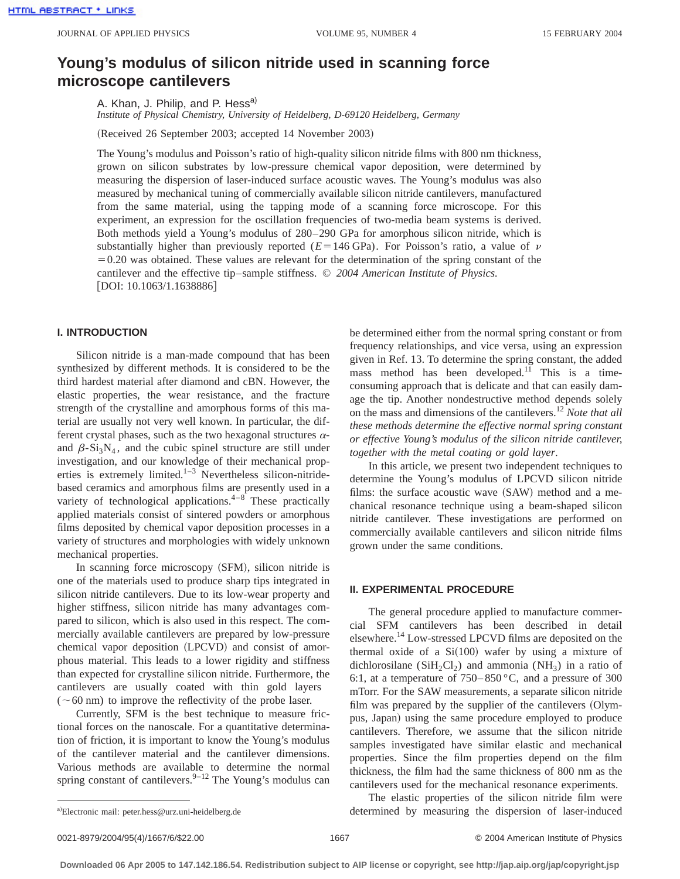# **Young's modulus of silicon nitride used in scanning force microscope cantilevers**

A. Khan, J. Philip, and P. Hess<sup>a)</sup>

*Institute of Physical Chemistry, University of Heidelberg, D-69120 Heidelberg, Germany*

(Received 26 September 2003; accepted 14 November 2003)

The Young's modulus and Poisson's ratio of high-quality silicon nitride films with 800 nm thickness, grown on silicon substrates by low-pressure chemical vapor deposition, were determined by measuring the dispersion of laser-induced surface acoustic waves. The Young's modulus was also measured by mechanical tuning of commercially available silicon nitride cantilevers, manufactured from the same material, using the tapping mode of a scanning force microscope. For this experiment, an expression for the oscillation frequencies of two-media beam systems is derived. Both methods yield a Young's modulus of 280–290 GPa for amorphous silicon nitride, which is substantially higher than previously reported ( $E=146$  GPa). For Poisson's ratio, a value of  $\nu$  $=0.20$  was obtained. These values are relevant for the determination of the spring constant of the cantilever and the effective tip–sample stiffness. © *2004 American Institute of Physics.* [DOI: 10.1063/1.1638886]

## **I. INTRODUCTION**

Silicon nitride is a man-made compound that has been synthesized by different methods. It is considered to be the third hardest material after diamond and cBN. However, the elastic properties, the wear resistance, and the fracture strength of the crystalline and amorphous forms of this material are usually not very well known. In particular, the different crystal phases, such as the two hexagonal structures  $\alpha$ and  $\beta$ -Si<sub>3</sub>N<sub>4</sub>, and the cubic spinel structure are still under investigation, and our knowledge of their mechanical properties is extremely limited.<sup>1–3</sup> Nevertheless silicon-nitridebased ceramics and amorphous films are presently used in a variety of technological applications. $4-8$  These practically applied materials consist of sintered powders or amorphous films deposited by chemical vapor deposition processes in a variety of structures and morphologies with widely unknown mechanical properties.

In scanning force microscopy (SFM), silicon nitride is one of the materials used to produce sharp tips integrated in silicon nitride cantilevers. Due to its low-wear property and higher stiffness, silicon nitride has many advantages compared to silicon, which is also used in this respect. The commercially available cantilevers are prepared by low-pressure chemical vapor deposition (LPCVD) and consist of amorphous material. This leads to a lower rigidity and stiffness than expected for crystalline silicon nitride. Furthermore, the cantilevers are usually coated with thin gold layers  $(\sim 60 \text{ nm})$  to improve the reflectivity of the probe laser.

Currently, SFM is the best technique to measure frictional forces on the nanoscale. For a quantitative determination of friction, it is important to know the Young's modulus of the cantilever material and the cantilever dimensions. Various methods are available to determine the normal spring constant of cantilevers. $9-12$  The Young's modulus can be determined either from the normal spring constant or from frequency relationships, and vice versa, using an expression given in Ref. 13. To determine the spring constant, the added mass method has been developed.<sup>11</sup> This is a timeconsuming approach that is delicate and that can easily damage the tip. Another nondestructive method depends solely on the mass and dimensions of the cantilevers.12 *Note that all these methods determine the effective normal spring constant or effective Young's modulus of the silicon nitride cantilever, together with the metal coating or gold layer*.

In this article, we present two independent techniques to determine the Young's modulus of LPCVD silicon nitride films: the surface acoustic wave  $(SAW)$  method and a mechanical resonance technique using a beam-shaped silicon nitride cantilever. These investigations are performed on commercially available cantilevers and silicon nitride films grown under the same conditions.

## **II. EXPERIMENTAL PROCEDURE**

The general procedure applied to manufacture commercial SFM cantilevers has been described in detail elsewhere.14 Low-stressed LPCVD films are deposited on the thermal oxide of a  $Si(100)$  wafer by using a mixture of dichlorosilane (SiH<sub>2</sub>Cl<sub>2</sub>) and ammonia (NH<sub>3</sub>) in a ratio of 6:1, at a temperature of  $750-850$  °C, and a pressure of 300 mTorr. For the SAW measurements, a separate silicon nitride film was prepared by the supplier of the cantilevers (Olympus, Japan) using the same procedure employed to produce cantilevers. Therefore, we assume that the silicon nitride samples investigated have similar elastic and mechanical properties. Since the film properties depend on the film thickness, the film had the same thickness of 800 nm as the cantilevers used for the mechanical resonance experiments.

The elastic properties of the silicon nitride film were determined by measuring the dispersion of laser-induced

a)Electronic mail: peter.hess@urz.uni-heidelberg.de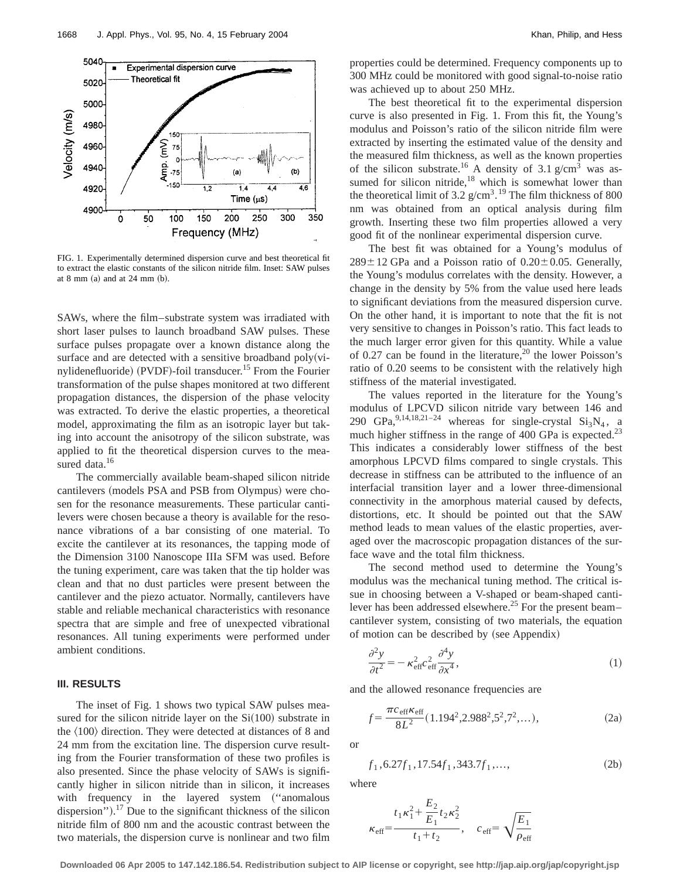

FIG. 1. Experimentally determined dispersion curve and best theoretical fit to extract the elastic constants of the silicon nitride film. Inset: SAW pulses at 8 mm  $(a)$  and at 24 mm  $(b)$ .

SAWs, where the film–substrate system was irradiated with short laser pulses to launch broadband SAW pulses. These surface pulses propagate over a known distance along the surface and are detected with a sensitive broadband  $poly(vi-)$ nylidenefluoride) (PVDF)-foil transducer.<sup>15</sup> From the Fourier transformation of the pulse shapes monitored at two different propagation distances, the dispersion of the phase velocity was extracted. To derive the elastic properties, a theoretical model, approximating the film as an isotropic layer but taking into account the anisotropy of the silicon substrate, was applied to fit the theoretical dispersion curves to the measured data.<sup>16</sup>

The commercially available beam-shaped silicon nitride cantilevers (models PSA and PSB from Olympus) were chosen for the resonance measurements. These particular cantilevers were chosen because a theory is available for the resonance vibrations of a bar consisting of one material. To excite the cantilever at its resonances, the tapping mode of the Dimension 3100 Nanoscope IIIa SFM was used. Before the tuning experiment, care was taken that the tip holder was clean and that no dust particles were present between the cantilever and the piezo actuator. Normally, cantilevers have stable and reliable mechanical characteristics with resonance spectra that are simple and free of unexpected vibrational resonances. All tuning experiments were performed under ambient conditions.

# **III. RESULTS**

The inset of Fig. 1 shows two typical SAW pulses measured for the silicon nitride layer on the  $Si(100)$  substrate in the  $\langle 100 \rangle$  direction. They were detected at distances of 8 and 24 mm from the excitation line. The dispersion curve resulting from the Fourier transformation of these two profiles is also presented. Since the phase velocity of SAWs is significantly higher in silicon nitride than in silicon, it increases with frequency in the layered system ("anomalous dispersion").<sup>17</sup> Due to the significant thickness of the silicon nitride film of 800 nm and the acoustic contrast between the two materials, the dispersion curve is nonlinear and two film properties could be determined. Frequency components up to 300 MHz could be monitored with good signal-to-noise ratio was achieved up to about 250 MHz.

The best theoretical fit to the experimental dispersion curve is also presented in Fig. 1. From this fit, the Young's modulus and Poisson's ratio of the silicon nitride film were extracted by inserting the estimated value of the density and the measured film thickness, as well as the known properties of the silicon substrate.<sup>16</sup> A density of 3.1 g/cm<sup>3</sup> was assumed for silicon nitride, $18 \text{ which is somewhat lower than}$ the theoretical limit of 3.2  $g/cm<sup>3</sup>$ .<sup>19</sup> The film thickness of 800 nm was obtained from an optical analysis during film growth. Inserting these two film properties allowed a very good fit of the nonlinear experimental dispersion curve.

The best fit was obtained for a Young's modulus of  $289 \pm 12$  GPa and a Poisson ratio of  $0.20 \pm 0.05$ . Generally, the Young's modulus correlates with the density. However, a change in the density by 5% from the value used here leads to significant deviations from the measured dispersion curve. On the other hand, it is important to note that the fit is not very sensitive to changes in Poisson's ratio. This fact leads to the much larger error given for this quantity. While a value of 0.27 can be found in the literature,  $^{20}$  the lower Poisson's ratio of 0.20 seems to be consistent with the relatively high stiffness of the material investigated.

The values reported in the literature for the Young's modulus of LPCVD silicon nitride vary between 146 and 290 GPa,  $9,14,18,21-24$  whereas for single-crystal  $Si<sub>3</sub>N<sub>4</sub>$ , a much higher stiffness in the range of 400 GPa is expected.<sup>23</sup> This indicates a considerably lower stiffness of the best amorphous LPCVD films compared to single crystals. This decrease in stiffness can be attributed to the influence of an interfacial transition layer and a lower three-dimensional connectivity in the amorphous material caused by defects, distortions, etc. It should be pointed out that the SAW method leads to mean values of the elastic properties, averaged over the macroscopic propagation distances of the surface wave and the total film thickness.

The second method used to determine the Young's modulus was the mechanical tuning method. The critical issue in choosing between a V-shaped or beam-shaped cantilever has been addressed elsewhere.<sup>25</sup> For the present beam– cantilever system, consisting of two materials, the equation of motion can be described by (see Appendix)

$$
\frac{\partial^2 y}{\partial t^2} = -\kappa_{\text{eff}}^2 c_{\text{eff}}^2 \frac{\partial^4 y}{\partial x^4},\tag{1}
$$

and the allowed resonance frequencies are

$$
f = \frac{\pi c_{\text{eff}} \kappa_{\text{eff}}}{8L^2} (1.194^2, 2.988^2, 5^2, 7^2, \dots),
$$
 (2a)

or

$$
f_1, 6.27f_1, 17.54f_1, 343.7f_1, \dots,
$$
 (2b)

where

$$
\kappa_{\text{eff}} = \frac{t_1 \kappa_1^2 + \frac{E_2}{E_1} t_2 \kappa_2^2}{t_1 + t_2}, \quad c_{\text{eff}} = \sqrt{\frac{E_1}{\rho_{\text{eff}}}}
$$

**Downloaded 06 Apr 2005 to 147.142.186.54. Redistribution subject to AIP license or copyright, see http://jap.aip.org/jap/copyright.jsp**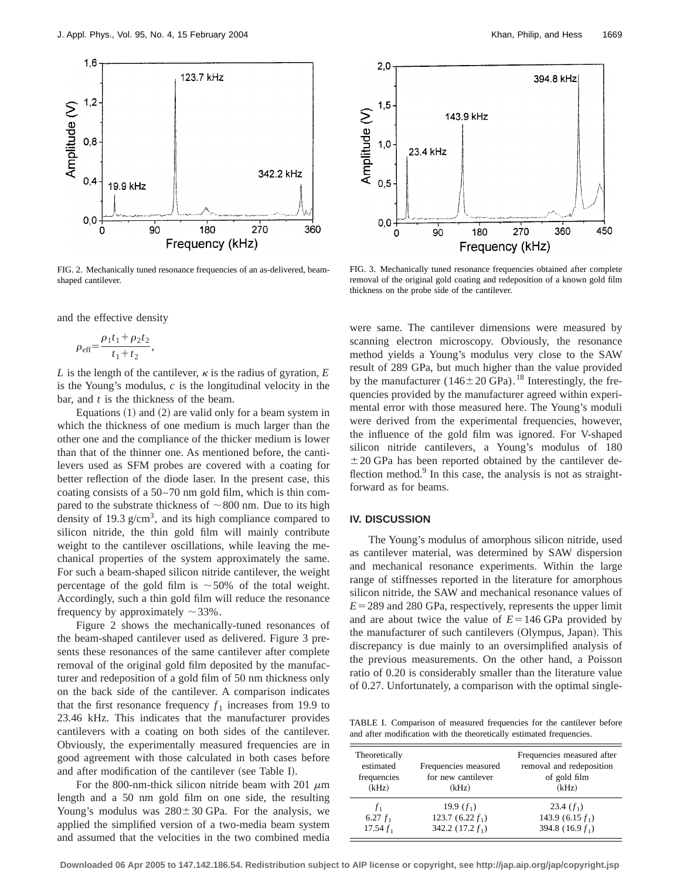

FIG. 2. Mechanically tuned resonance frequencies of an as-delivered, beamshaped cantilever.

and the effective density

$$
\rho_{\text{eff}} = \frac{\rho_1 t_1 + \rho_2 t_2}{t_1 + t_2},
$$

*L* is the length of the cantilever,  $\kappa$  is the radius of gyration, *E* is the Young's modulus, *c* is the longitudinal velocity in the bar, and *t* is the thickness of the beam.

Equations  $(1)$  and  $(2)$  are valid only for a beam system in which the thickness of one medium is much larger than the other one and the compliance of the thicker medium is lower than that of the thinner one. As mentioned before, the cantilevers used as SFM probes are covered with a coating for better reflection of the diode laser. In the present case, this coating consists of a 50–70 nm gold film, which is thin compared to the substrate thickness of  $\sim 800$  nm. Due to its high density of 19.3  $g/cm<sup>3</sup>$ , and its high compliance compared to silicon nitride, the thin gold film will mainly contribute weight to the cantilever oscillations, while leaving the mechanical properties of the system approximately the same. For such a beam-shaped silicon nitride cantilever, the weight percentage of the gold film is  $\sim$  50% of the total weight. Accordingly, such a thin gold film will reduce the resonance frequency by approximately  $\sim$  33%.

Figure 2 shows the mechanically-tuned resonances of the beam-shaped cantilever used as delivered. Figure 3 presents these resonances of the same cantilever after complete removal of the original gold film deposited by the manufacturer and redeposition of a gold film of 50 nm thickness only on the back side of the cantilever. A comparison indicates that the first resonance frequency  $f_1$  increases from 19.9 to 23.46 kHz. This indicates that the manufacturer provides cantilevers with a coating on both sides of the cantilever. Obviously, the experimentally measured frequencies are in good agreement with those calculated in both cases before and after modification of the cantilever (see Table I).

For the 800-nm-thick silicon nitride beam with 201  $\mu$ m length and a 50 nm gold film on one side, the resulting Young's modulus was  $280 \pm 30$  GPa. For the analysis, we applied the simplified version of a two-media beam system and assumed that the velocities in the two combined media



FIG. 3. Mechanically tuned resonance frequencies obtained after complete removal of the original gold coating and redeposition of a known gold film thickness on the probe side of the cantilever.

were same. The cantilever dimensions were measured by scanning electron microscopy. Obviously, the resonance method yields a Young's modulus very close to the SAW result of 289 GPa, but much higher than the value provided by the manufacturer ( $146 \pm 20$  GPa).<sup>18</sup> Interestingly, the frequencies provided by the manufacturer agreed within experimental error with those measured here. The Young's moduli were derived from the experimental frequencies, however, the influence of the gold film was ignored. For V-shaped silicon nitride cantilevers, a Young's modulus of 180  $\pm 20$  GPa has been reported obtained by the cantilever deflection method. $9$  In this case, the analysis is not as straightforward as for beams.

### **IV. DISCUSSION**

The Young's modulus of amorphous silicon nitride, used as cantilever material, was determined by SAW dispersion and mechanical resonance experiments. Within the large range of stiffnesses reported in the literature for amorphous silicon nitride, the SAW and mechanical resonance values of  $E = 289$  and 280 GPa, respectively, represents the upper limit and are about twice the value of  $E = 146$  GPa provided by the manufacturer of such cantilevers (Olympus, Japan). This discrepancy is due mainly to an oversimplified analysis of the previous measurements. On the other hand, a Poisson ratio of 0.20 is considerably smaller than the literature value of 0.27. Unfortunately, a comparison with the optimal single-

TABLE I. Comparison of measured frequencies for the cantilever before and after modification with the theoretically estimated frequencies.

| Theoretically<br>estimated<br>frequencies<br>(kHz) | Frequencies measured<br>for new cantilever<br>(kHz) | Frequencies measured after<br>removal and redeposition<br>of gold film<br>(kHz) |
|----------------------------------------------------|-----------------------------------------------------|---------------------------------------------------------------------------------|
| $f_1$                                              | 19.9 $(f_1)$                                        | 23.4 $(f_1)$                                                                    |
| 6.27 $f_1$                                         | 123.7 $(6.22 f_1)$                                  | 143.9 $(6.15 f_1)$                                                              |
| 17.54 $f_1$                                        | 342.2 $(17.2 f_1)$                                  | 394.8 (16.9 $f_1$ )                                                             |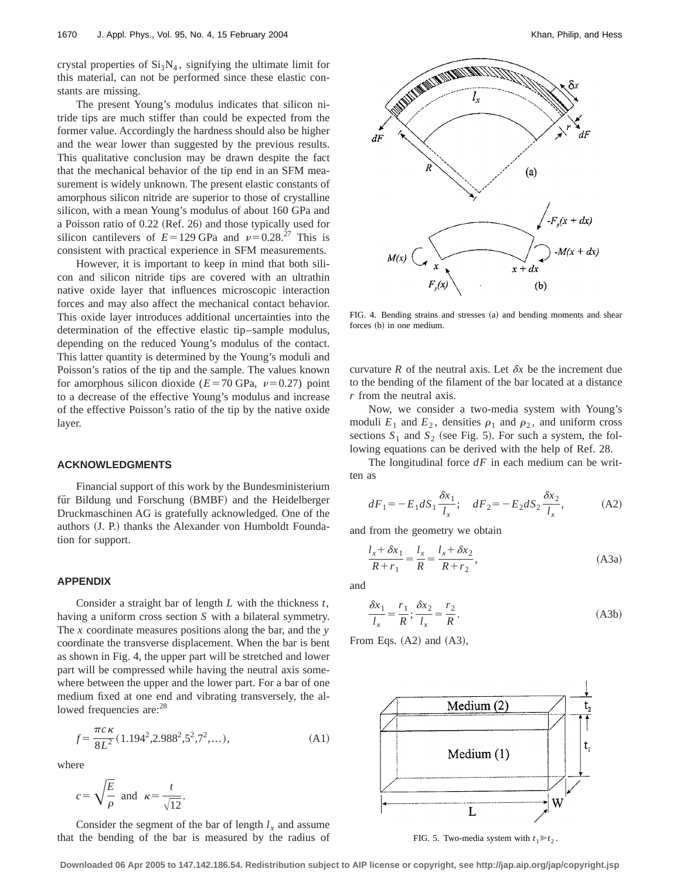crystal properties of  $Si<sub>3</sub>N<sub>4</sub>$ , signifying the ultimate limit for this material, can not be performed since these elastic constants are missing.

The present Young's modulus indicates that silicon nitride tips are much stiffer than could be expected from the former value. Accordingly the hardness should also be higher and the wear lower than suggested by the previous results. This qualitative conclusion may be drawn despite the fact that the mechanical behavior of the tip end in an SFM measurement is widely unknown. The present elastic constants of amorphous silicon nitride are superior to those of crystalline silicon, with a mean Young's modulus of about 160 GPa and a Poisson ratio of  $0.22$  (Ref. 26) and those typically used for silicon cantilevers of  $E=129$  GPa and  $\nu=0.28^{27}$  This is consistent with practical experience in SFM measurements.

However, it is important to keep in mind that both silicon and silicon nitride tips are covered with an ultrathin native oxide layer that influences microscopic interaction forces and may also affect the mechanical contact behavior. This oxide layer introduces additional uncertainties into the determination of the effective elastic tip–sample modulus, depending on the reduced Young's modulus of the contact. This latter quantity is determined by the Young's moduli and Poisson's ratios of the tip and the sample. The values known for amorphous silicon dioxide ( $E=70$  GPa,  $\nu=0.27$ ) point to a decrease of the effective Young's modulus and increase of the effective Poisson's ratio of the tip by the native oxide layer.

#### **ACKNOWLEDGMENTS**

Financial support of this work by the Bundesministerium für Bildung und Forschung (BMBF) and the Heidelberger Druckmaschinen AG is gratefully acknowledged. One of the authors (J. P.) thanks the Alexander von Humboldt Foundation for support.

# **APPENDIX**

Consider a straight bar of length *L* with the thickness *t*, having a uniform cross section *S* with a bilateral symmetry. The *x* coordinate measures positions along the bar, and the *y* coordinate the transverse displacement. When the bar is bent as shown in Fig. 4, the upper part will be stretched and lower part will be compressed while having the neutral axis somewhere between the upper and the lower part. For a bar of one medium fixed at one end and vibrating transversely, the allowed frequencies are: <sup>28</sup>

$$
f = \frac{\pi c \kappa}{8L^2} (1.194^2, 2.988^2, 5^2, 7^2, \dots),
$$
 (A1)

where

$$
c = \sqrt{\frac{E}{\rho}}
$$
 and  $\kappa = \frac{t}{\sqrt{12}}$ .

Consider the segment of the bar of length  $l_x$  and assume that the bending of the bar is measured by the radius of



FIG. 4. Bending strains and stresses (a) and bending moments and shear forces (b) in one medium.

curvature *R* of the neutral axis. Let  $\delta x$  be the increment due to the bending of the filament of the bar located at a distance *r* from the neutral axis.

Now, we consider a two-media system with Young's moduli  $E_1$  and  $E_2$ , densities  $\rho_1$  and  $\rho_2$ , and uniform cross sections  $S_1$  and  $S_2$  (see Fig. 5). For such a system, the following equations can be derived with the help of Ref. 28.

The longitudinal force *dF* in each medium can be written as

$$
dF_1 = -E_1 dS_1 \frac{\delta x_1}{l_x}; \quad dF_2 = -E_2 dS_2 \frac{\delta x_2}{l_x}, \tag{A2}
$$

and from the geometry we obtain

$$
\frac{l_x + \delta x_1}{R + r_1} = \frac{l_x}{R} = \frac{l_x + \delta x_2}{R + r_2},
$$
\n(A3a)

and

$$
\frac{\delta x_1}{l_x} = \frac{r_1}{R}; \frac{\delta x_2}{l_x} = \frac{r_2}{R}.
$$
 (A3b)

From Eqs.  $(A2)$  and  $(A3)$ ,



FIG. 5. Two-media system with  $t_1 \ge t_2$ .

**Downloaded 06 Apr 2005 to 147.142.186.54. Redistribution subject to AIP license or copyright, see http://jap.aip.org/jap/copyright.jsp**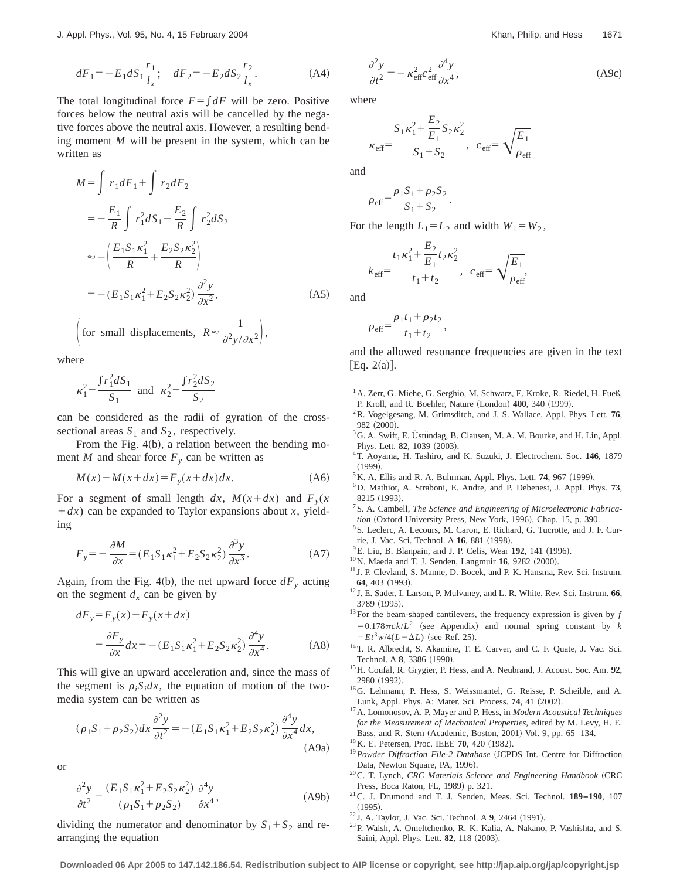$$
dF_1 = -E_1 dS_1 \frac{r_1}{l_x}; \quad dF_2 = -E_2 dS_2 \frac{r_2}{l_x}.
$$
 (A4)

The total longitudinal force  $F = \int dF$  will be zero. Positive forces below the neutral axis will be cancelled by the negative forces above the neutral axis. However, a resulting bending moment *M* will be present in the system, which can be written as

$$
M = \int r_1 dF_1 + \int r_2 dF_2
$$
  
=  $-\frac{E_1}{R} \int r_1^2 dS_1 - \frac{E_2}{R} \int r_2^2 dS_2$   
 $\approx -\left(\frac{E_1 S_1 \kappa_1^2}{R} + \frac{E_2 S_2 \kappa_2^2}{R}\right)$   
=  $-(E_1 S_1 \kappa_1^2 + E_2 S_2 \kappa_2^2) \frac{\partial^2 y}{\partial x^2},$  (A5)

for small displacements,  $R \approx \frac{1}{\partial^2 y/\partial x^2}$ ,

where

$$
\kappa_1^2 = \frac{\int r_1^2 dS_1}{S_1}
$$
 and  $\kappa_2^2 = \frac{\int r_2^2 dS_2}{S_2}$ 

can be considered as the radii of gyration of the crosssectional areas  $S_1$  and  $S_2$ , respectively.

From the Fig.  $4(b)$ , a relation between the bending moment *M* and shear force  $F_y$  can be written as

$$
M(x) - M(x + dx) = F_y(x + dx)dx.
$$
 (A6)

For a segment of small length dx,  $M(x+dx)$  and  $F_y(x)$  $+ dx$ ) can be expanded to Taylor expansions about *x*, yielding

$$
F_y = -\frac{\partial M}{\partial x} = (E_1 S_1 \kappa_1^2 + E_2 S_2 \kappa_2^2) \frac{\partial^3 y}{\partial x^3}.
$$
 (A7)

Again, from the Fig. 4(b), the net upward force  $dF_y$  acting on the segment  $d_x$  can be given by

$$
dF_y = F_y(x) - F_y(x + dx)
$$
  
= 
$$
\frac{\partial F_y}{\partial x} dx = -(E_1 S_1 \kappa_1^2 + E_2 S_2 \kappa_2^2) \frac{\partial^4 y}{\partial x^4}.
$$
 (A8)

This will give an upward acceleration and, since the mass of the segment is  $\rho_i S_i dx$ , the equation of motion of the twomedia system can be written as

$$
(\rho_1 S_1 + \rho_2 S_2) dx \frac{\partial^2 y}{\partial t^2} = -(E_1 S_1 \kappa_1^2 + E_2 S_2 \kappa_2^2) \frac{\partial^4 y}{\partial x^4} dx,
$$
\n(A9a)

or

$$
\frac{\partial^2 y}{\partial t^2} = \frac{(E_1 S_1 \kappa_1^2 + E_2 S_2 \kappa_2^2)}{(\rho_1 S_1 + \rho_2 S_2)} \frac{\partial^4 y}{\partial x^4},
$$
 (A9b)

dividing the numerator and denominator by  $S_1 + S_2$  and rearranging the equation

$$
\frac{\partial^2 y}{\partial t^2} = -\kappa_{\text{eff}}^2 c_{\text{eff}}^2 \frac{\partial^4 y}{\partial x^4},\tag{A9c}
$$

where

$$
\kappa_{\text{eff}} = \frac{S_1 \kappa_1^2 + \frac{E_2}{E_1} S_2 \kappa_2^2}{S_1 + S_2}, \quad c_{\text{eff}} = \sqrt{\frac{E_1}{\rho_{\text{eff}}}}
$$

and

$$
\rho_{\text{eff}} = \frac{\rho_1 S_1 + \rho_2 S_2}{S_1 + S_2}
$$

For the length  $L_1 = L_2$  and width  $W_1 = W_2$ ,

.

$$
k_{\text{eff}}\text{=}\frac{\frac{t_1\kappa _1^2+\frac{E_2}{E_1}t_2\kappa _2^2}{t_1+t_2},\ \, c_{\text{eff}}\text{=}\,\sqrt{\frac{E_1}{\rho_{\text{eff}}}},
$$

and

$$
\rho_{\text{eff}} = \frac{\rho_1 t_1 + \rho_2 t_2}{t_1 + t_2},
$$

and the allowed resonance frequencies are given in the text [Eq.  $2(a)$ ].

- <sup>1</sup> A. Zerr, G. Miehe, G. Serghio, M. Schwarz, E. Kroke, R. Riedel, H. Fueß, P. Kroll, and R. Boehler, Nature (London) 400, 340 (1999).
- 2R. Vogelgesang, M. Grimsditch, and J. S. Wallace, Appl. Phys. Lett. **76**,
- 982 (2000).<br><sup>3</sup>G. A. Swift, E. Üstündag, B. Clausen, M. A. M. Bourke, and H. Lin, Appl. Phys. Lett. **82**, 1039 (2003).
- 4T. Aoyama, H. Tashiro, and K. Suzuki, J. Electrochem. Soc. **146**, 1879  $(1999)$
- ${}^{5}$ K. A. Ellis and R. A. Buhrman, Appl. Phys. Lett. **74**, 967 (1999).
- 6D. Mathiot, A. Straboni, E. Andre, and P. Debenest, J. Appl. Phys. **73**, 8215 (1993)
- 7S. A. Cambell, *The Science and Engineering of Microelectronic Fabrication* (Oxford University Press, New York, 1996), Chap. 15, p. 390.
- 8S. Leclerc, A. Lecours, M. Caron, E. Richard, G. Tucrotte, and J. F. Currie, J. Vac. Sci. Technol. A 16, 881 (1998).
- <sup>9</sup> E. Liu, B. Blanpain, and J. P. Celis, Wear 192, 141 (1996).
- $10$ <sub>N</sub>. Maeda and T. J. Senden, Langmuir 16, 9282 (2000).
- <sup>11</sup> J. P. Clevland, S. Manne, D. Bocek, and P. K. Hansma, Rev. Sci. Instrum. **64**, 403 (1993).
- <sup>12</sup> J. E. Sader, I. Larson, P. Mulvaney, and L. R. White, Rev. Sci. Instrum. **66**, 3789 (1995).
- $13$ For the beam-shaped cantilevers, the frequency expression is given by  $f$  $=0.178\pi c k/L^2$  (see Appendix) and normal spring constant by *k*  $E = E t^3 w / 4(L - \Delta L)$  (see Ref. 25).
- <sup>14</sup>T. R. Albrecht, S. Akamine, T. E. Carver, and C. F. Quate, J. Vac. Sci. Technol. A 8, 3386 (1990).
- 15H. Coufal, R. Grygier, P. Hess, and A. Neubrand, J. Acoust. Soc. Am. **92**, 2980 (1992).
- 16G. Lehmann, P. Hess, S. Weissmantel, G. Reisse, P. Scheible, and A. Lunk, Appl. Phys. A: Mater. Sci. Process. **74**, 41 (2002).
- 17A. Lomonosov, A. P. Mayer and P. Hess, in *Modern Acoustical Techniques for the Measurement of Mechanical Properties*, edited by M. Levy, H. E. Bass, and R. Stern (Academic, Boston, 2001) Vol. 9, pp. 65–134.
- <sup>18</sup> K. E. Petersen, Proc. IEEE **70**, 420 (1982).
- <sup>19</sup> Powder Diffraction File-2 Database (JCPDS Int. Centre for Diffraction Data, Newton Square, PA, 1996).
- <sup>20</sup>C. T. Lynch, *CRC Materials Science and Engineering Handbook* (CRC Press, Boca Raton, FL, 1989) p. 321.
- 21C. J. Drumond and T. J. Senden, Meas. Sci. Technol. **189–190**, 107  $(1995).$
- <sup>22</sup> J. A. Taylor, J. Vac. Sci. Technol. A 9, 2464 (1991).
- 23P. Walsh, A. Omeltchenko, R. K. Kalia, A. Nakano, P. Vashishta, and S. Saini, Appl. Phys. Lett. **82**, 118 (2003).

**Downloaded 06 Apr 2005 to 147.142.186.54. Redistribution subject to AIP license or copyright, see http://jap.aip.org/jap/copyright.jsp**